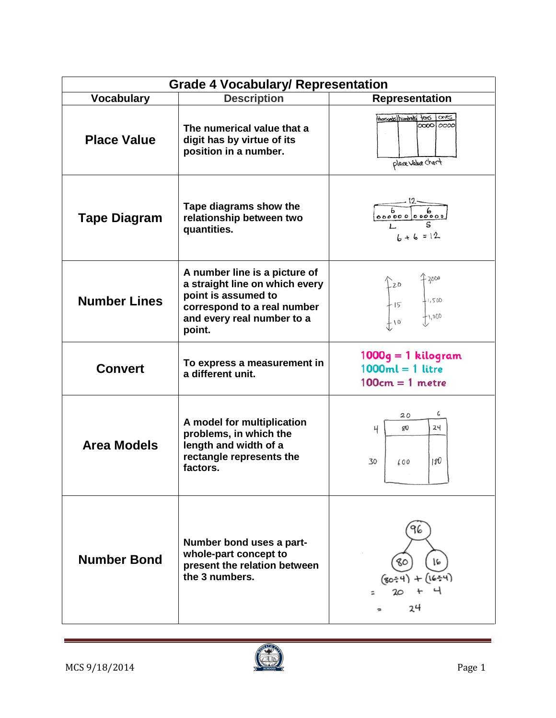| <b>Grade 4 Vocabulary/ Representation</b> |                                                                                                                                                               |                                                                  |  |
|-------------------------------------------|---------------------------------------------------------------------------------------------------------------------------------------------------------------|------------------------------------------------------------------|--|
| <b>Vocabulary</b>                         | <b>Description</b>                                                                                                                                            | <b>Representation</b>                                            |  |
| <b>Place Value</b>                        | The numerical value that a<br>digit has by virtue of its<br>position in a number.                                                                             | Hansands/hundreds fors 10ness<br>1000010000<br>place value chart |  |
| <b>Tape Diagram</b>                       | Tape diagrams show the<br>relationship between two<br>quantities.                                                                                             | $6 + 6 = 12$                                                     |  |
| <b>Number Lines</b>                       | A number line is a picture of<br>a straight line on which every<br>point is assumed to<br>correspond to a real number<br>and every real number to a<br>point. | 2000<br>$720$<br>$15$<br>+1,500<br>∤1,000                        |  |
| <b>Convert</b>                            | To express a measurement in<br>a different unit.                                                                                                              | $1000g = 1$ kilogram<br>$1000ml = 1$ litre<br>$100cm = 1$ metre  |  |
| <b>Area Models</b>                        | A model for multiplication<br>problems, in which the<br>length and width of a<br>rectangle represents the<br>factors.                                         | 6<br>20<br>24<br>$80^{\circ}$<br>4<br>180<br>30<br>600           |  |
| <b>Number Bond</b>                        | Number bond uses a part-<br>whole-part concept to<br>present the relation between<br>the 3 numbers.                                                           | 16<br>80<br>16<br>(80÷4<br>20<br>24                              |  |



 $\sim$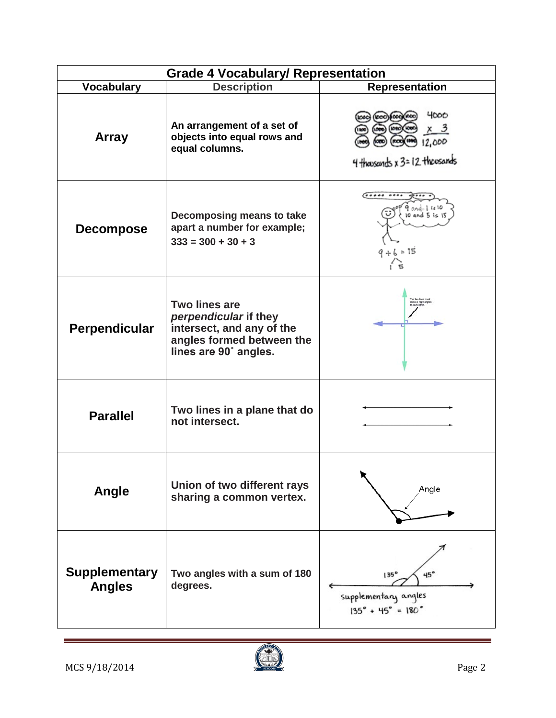| <b>Grade 4 Vocabulary/ Representation</b> |                                                                                                                                  |                                                                                                 |  |  |
|-------------------------------------------|----------------------------------------------------------------------------------------------------------------------------------|-------------------------------------------------------------------------------------------------|--|--|
| <b>Vocabulary</b>                         | <b>Description</b>                                                                                                               | <b>Representation</b>                                                                           |  |  |
| <b>Array</b>                              | An arrangement of a set of<br>objects into equal rows and<br>equal columns.                                                      | 4000<br>12,000<br>4 thousands x 3=12 thousands                                                  |  |  |
| <b>Decompose</b>                          | Decomposing means to take<br>apart a number for example;<br>$333 = 300 + 30 + 3$                                                 | $\bullet\bullet\bullet\bullet\bullet$<br>9 and 1. is 10<br>$10$ and $5$ is $15$<br>$9 + 6 = 15$ |  |  |
| Perpendicular                             | <b>Two lines are</b><br>perpendicular if they<br>intersect, and any of the<br>angles formed between the<br>lines are 90° angles. |                                                                                                 |  |  |
| <b>Parallel</b>                           | Two lines in a plane that do<br>not intersect.                                                                                   |                                                                                                 |  |  |
| Angle                                     | Union of two different rays<br>sharing a common vertex.                                                                          | Angle                                                                                           |  |  |
| <b>Supplementary</b><br><b>Angles</b>     | Two angles with a sum of 180<br>degrees.                                                                                         | 135 <sup>°</sup><br>45°<br>supplementary angles<br>$135^{\circ}$ + 45° = 180 $^{\circ}$         |  |  |



 $\sim$